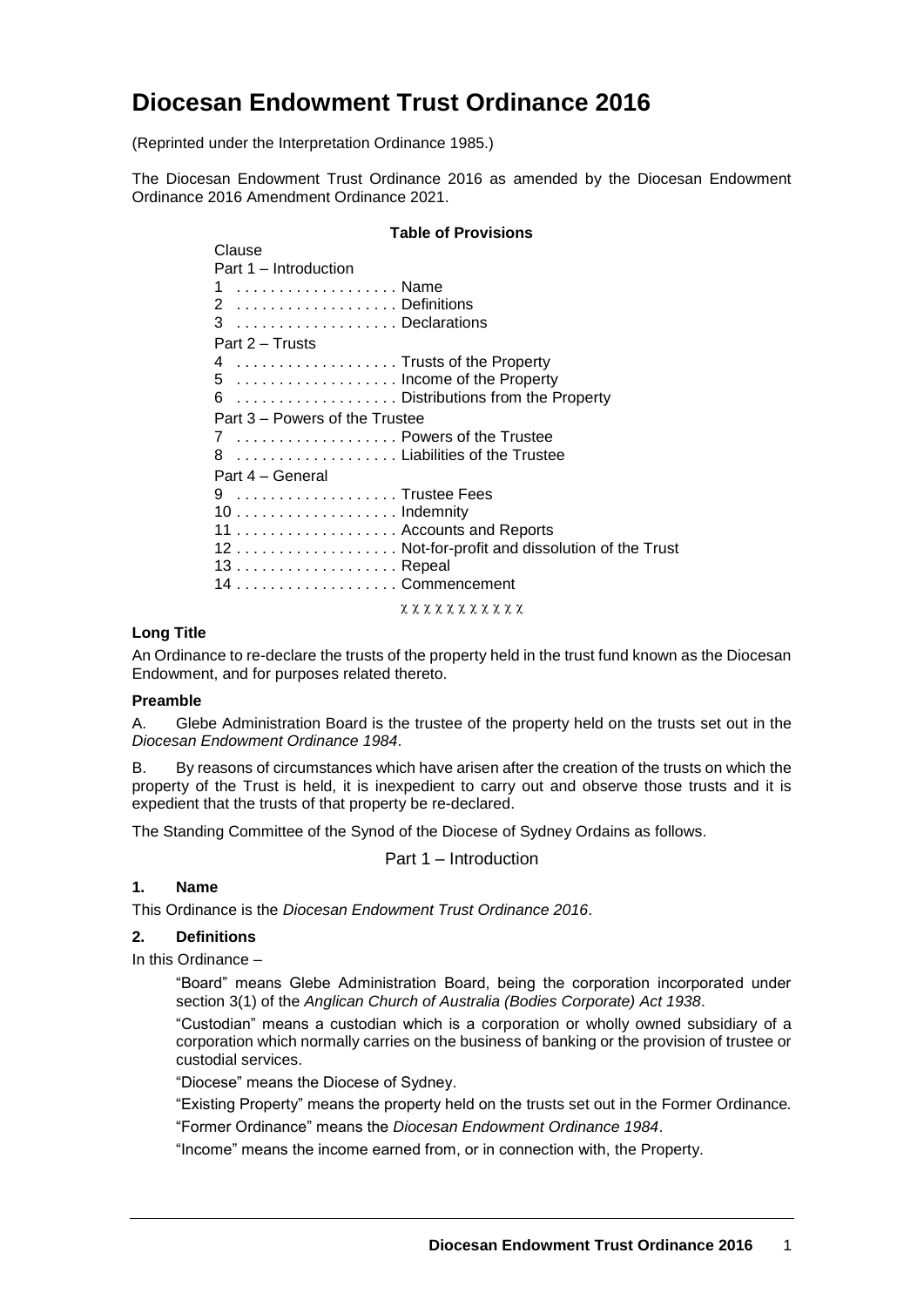# **Diocesan Endowment Trust Ordinance 2016**

(Reprinted under the Interpretation Ordinance 1985.)

The Diocesan Endowment Trust Ordinance 2016 as amended by the Diocesan Endowment Ordinance 2016 Amendment Ordinance 2021.

## **Table of Provisions**

| Clause                                         |
|------------------------------------------------|
| Part 1 – Introduction                          |
| 1  Name                                        |
| 2 Definitions                                  |
| 3 Declarations                                 |
| Part 2 – Trusts                                |
| 4  Trusts of the Property                      |
| 5  Income of the Property                      |
| 6  Distributions from the Property             |
| Part 3 – Powers of the Trustee                 |
| 7  Powers of the Trustee                       |
| 8  Liabilities of the Trustee                  |
| Part 4 – General                               |
| 9 Trustee Fees                                 |
|                                                |
|                                                |
| 12 Not-for-profit and dissolution of the Trust |
|                                                |
| 14 Commencement                                |
|                                                |
|                                                |

**x x x x x x x x x x x** 

#### **Long Title**

An Ordinance to re-declare the trusts of the property held in the trust fund known as the Diocesan Endowment, and for purposes related thereto.

#### **Preamble**

A. Glebe Administration Board is the trustee of the property held on the trusts set out in the *Diocesan Endowment Ordinance 1984*.

B. By reasons of circumstances which have arisen after the creation of the trusts on which the property of the Trust is held, it is inexpedient to carry out and observe those trusts and it is expedient that the trusts of that property be re-declared.

The Standing Committee of the Synod of the Diocese of Sydney Ordains as follows.

Part 1 – Introduction

### **1. Name**

This Ordinance is the *Diocesan Endowment Trust Ordinance 2016*.

#### **2. Definitions**

In this Ordinance –

"Board" means Glebe Administration Board, being the corporation incorporated under section 3(1) of the *Anglican Church of Australia (Bodies Corporate) Act 1938*.

"Custodian" means a custodian which is a corporation or wholly owned subsidiary of a corporation which normally carries on the business of banking or the provision of trustee or custodial services.

"Diocese" means the Diocese of Sydney.

"Existing Property" means the property held on the trusts set out in the Former Ordinance*.*

"Former Ordinance" means the *Diocesan Endowment Ordinance 1984*.

"Income" means the income earned from, or in connection with, the Property.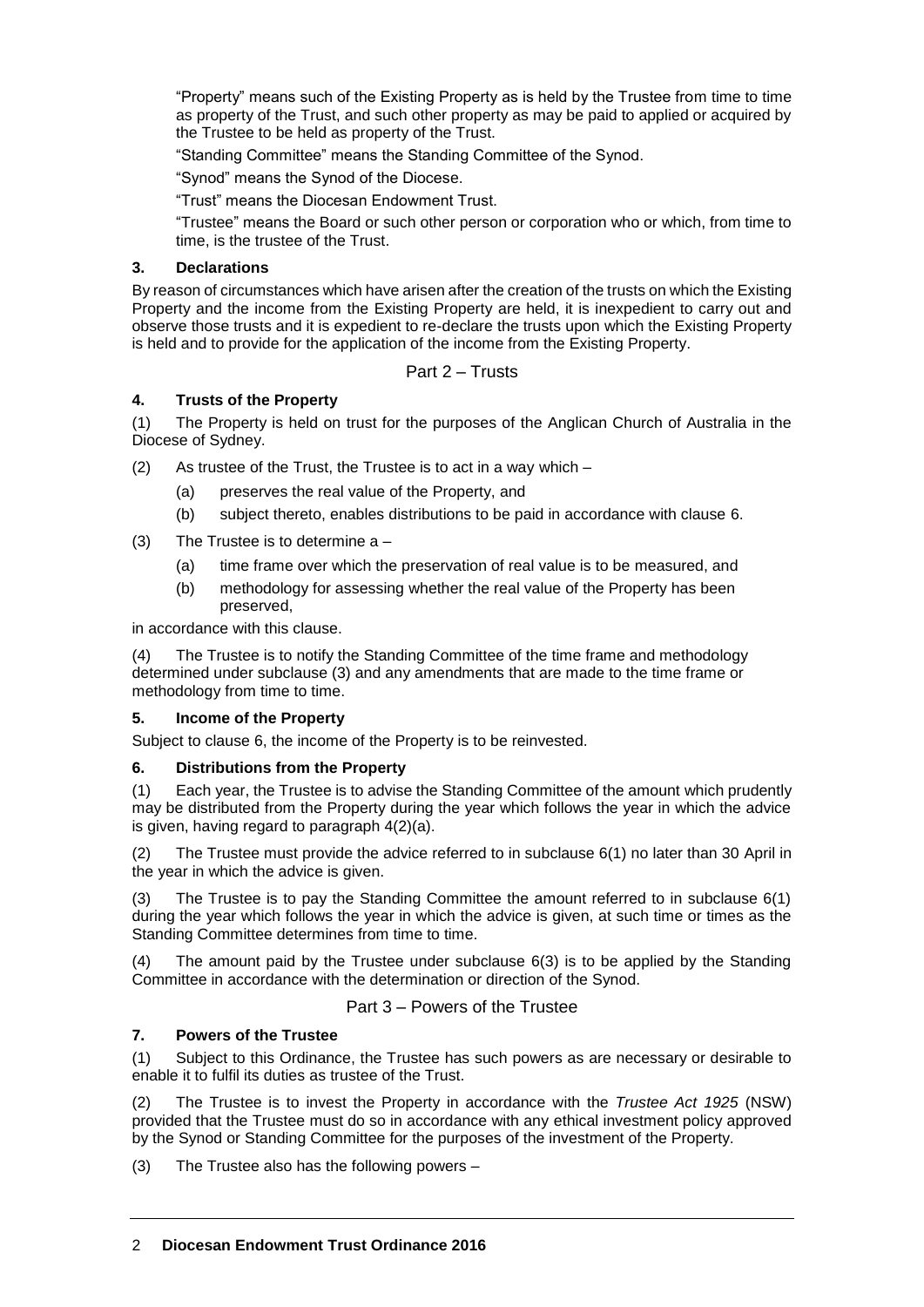"Property" means such of the Existing Property as is held by the Trustee from time to time as property of the Trust, and such other property as may be paid to applied or acquired by the Trustee to be held as property of the Trust.

"Standing Committee" means the Standing Committee of the Synod.

"Synod" means the Synod of the Diocese.

"Trust" means the Diocesan Endowment Trust.

"Trustee" means the Board or such other person or corporation who or which, from time to time, is the trustee of the Trust.

#### **3. Declarations**

By reason of circumstances which have arisen after the creation of the trusts on which the Existing Property and the income from the Existing Property are held, it is inexpedient to carry out and observe those trusts and it is expedient to re-declare the trusts upon which the Existing Property is held and to provide for the application of the income from the Existing Property.

Part 2 – Trusts

### **4. Trusts of the Property**

(1) The Property is held on trust for the purposes of the Anglican Church of Australia in the Diocese of Sydney.

(2) As trustee of the Trust, the Trustee is to act in a way which –

- (a) preserves the real value of the Property, and
- (b) subject thereto, enables distributions to be paid in accordance with clause 6.
- $(3)$  The Trustee is to determine a  $-$ 
	- (a) time frame over which the preservation of real value is to be measured, and
	- (b) methodology for assessing whether the real value of the Property has been preserved,

in accordance with this clause.

(4) The Trustee is to notify the Standing Committee of the time frame and methodology determined under subclause (3) and any amendments that are made to the time frame or methodology from time to time.

#### **5. Income of the Property**

Subject to clause 6, the income of the Property is to be reinvested.

### **6. Distributions from the Property**

(1) Each year, the Trustee is to advise the Standing Committee of the amount which prudently may be distributed from the Property during the year which follows the year in which the advice is given, having regard to paragraph 4(2)(a).

(2) The Trustee must provide the advice referred to in subclause 6(1) no later than 30 April in the year in which the advice is given.

(3) The Trustee is to pay the Standing Committee the amount referred to in subclause 6(1) during the year which follows the year in which the advice is given, at such time or times as the Standing Committee determines from time to time.

(4) The amount paid by the Trustee under subclause 6(3) is to be applied by the Standing Committee in accordance with the determination or direction of the Synod.

### Part 3 – Powers of the Trustee

### **7. Powers of the Trustee**

(1) Subject to this Ordinance, the Trustee has such powers as are necessary or desirable to enable it to fulfil its duties as trustee of the Trust.

(2) The Trustee is to invest the Property in accordance with the *Trustee Act 1925* (NSW) provided that the Trustee must do so in accordance with any ethical investment policy approved by the Synod or Standing Committee for the purposes of the investment of the Property.

(3) The Trustee also has the following powers –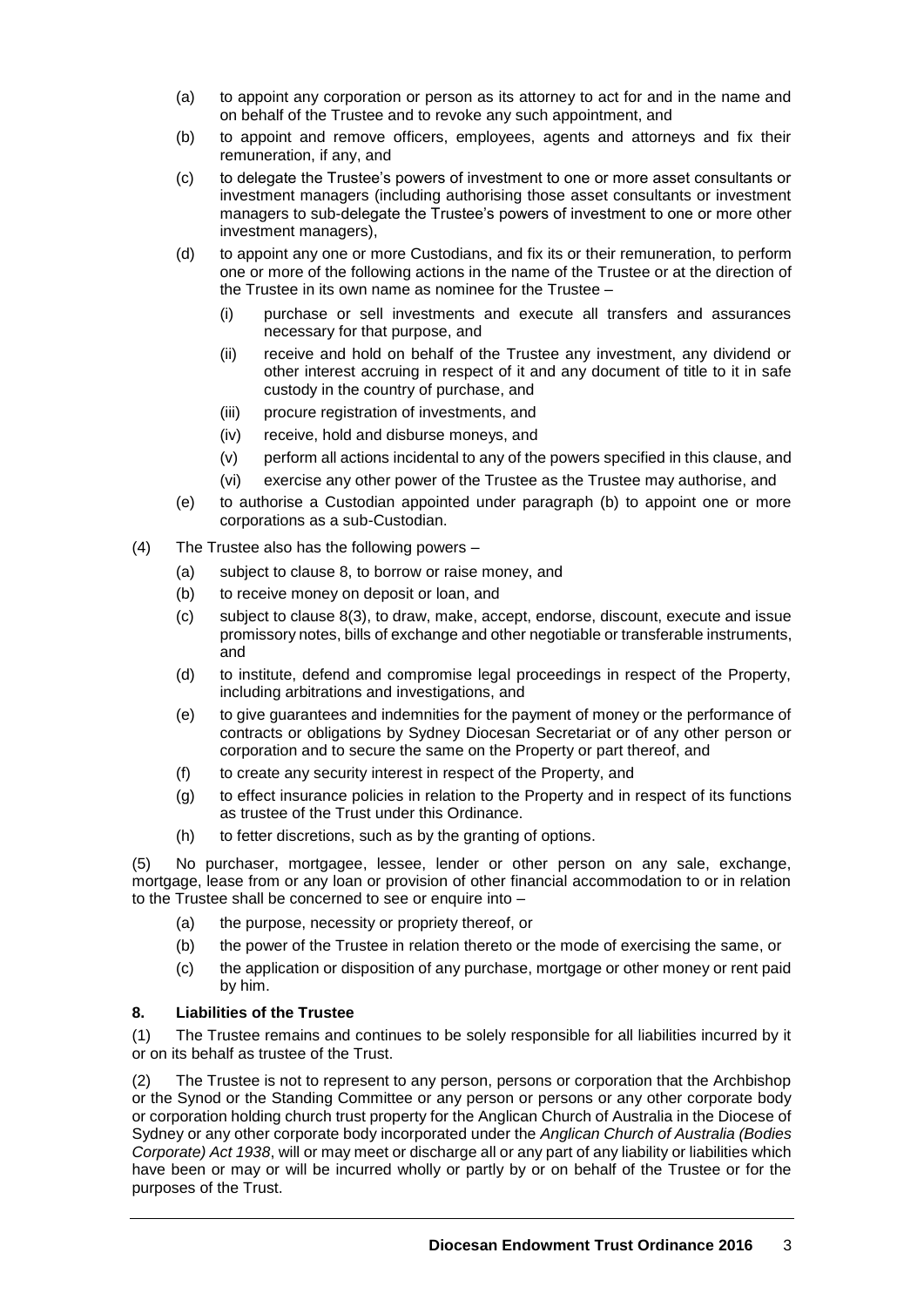- (a) to appoint any corporation or person as its attorney to act for and in the name and on behalf of the Trustee and to revoke any such appointment, and
- (b) to appoint and remove officers, employees, agents and attorneys and fix their remuneration, if any, and
- (c) to delegate the Trustee's powers of investment to one or more asset consultants or investment managers (including authorising those asset consultants or investment managers to sub-delegate the Trustee's powers of investment to one or more other investment managers),
- (d) to appoint any one or more Custodians, and fix its or their remuneration, to perform one or more of the following actions in the name of the Trustee or at the direction of the Trustee in its own name as nominee for the Trustee –
	- (i) purchase or sell investments and execute all transfers and assurances necessary for that purpose, and
	- (ii) receive and hold on behalf of the Trustee any investment, any dividend or other interest accruing in respect of it and any document of title to it in safe custody in the country of purchase, and
	- (iii) procure registration of investments, and
	- (iv) receive, hold and disburse moneys, and
	- (v) perform all actions incidental to any of the powers specified in this clause, and
	- (vi) exercise any other power of the Trustee as the Trustee may authorise, and
- (e) to authorise a Custodian appointed under paragraph (b) to appoint one or more corporations as a sub-Custodian.
- (4) The Trustee also has the following powers
	- (a) subject to clause 8, to borrow or raise money, and
	- (b) to receive money on deposit or loan, and
	- (c) subject to clause 8(3), to draw, make, accept, endorse, discount, execute and issue promissory notes, bills of exchange and other negotiable or transferable instruments, and
	- (d) to institute, defend and compromise legal proceedings in respect of the Property, including arbitrations and investigations, and
	- (e) to give guarantees and indemnities for the payment of money or the performance of contracts or obligations by Sydney Diocesan Secretariat or of any other person or corporation and to secure the same on the Property or part thereof, and
	- (f) to create any security interest in respect of the Property, and
	- (g) to effect insurance policies in relation to the Property and in respect of its functions as trustee of the Trust under this Ordinance.
	- (h) to fetter discretions, such as by the granting of options.

(5) No purchaser, mortgagee, lessee, lender or other person on any sale, exchange, mortgage, lease from or any loan or provision of other financial accommodation to or in relation to the Trustee shall be concerned to see or enquire into –

- (a) the purpose, necessity or propriety thereof, or
- (b) the power of the Trustee in relation thereto or the mode of exercising the same, or
- (c) the application or disposition of any purchase, mortgage or other money or rent paid by him.

### **8. Liabilities of the Trustee**

(1) The Trustee remains and continues to be solely responsible for all liabilities incurred by it or on its behalf as trustee of the Trust.

(2) The Trustee is not to represent to any person, persons or corporation that the Archbishop or the Synod or the Standing Committee or any person or persons or any other corporate body or corporation holding church trust property for the Anglican Church of Australia in the Diocese of Sydney or any other corporate body incorporated under the *Anglican Church of Australia (Bodies Corporate) Act 1938*, will or may meet or discharge all or any part of any liability or liabilities which have been or may or will be incurred wholly or partly by or on behalf of the Trustee or for the purposes of the Trust.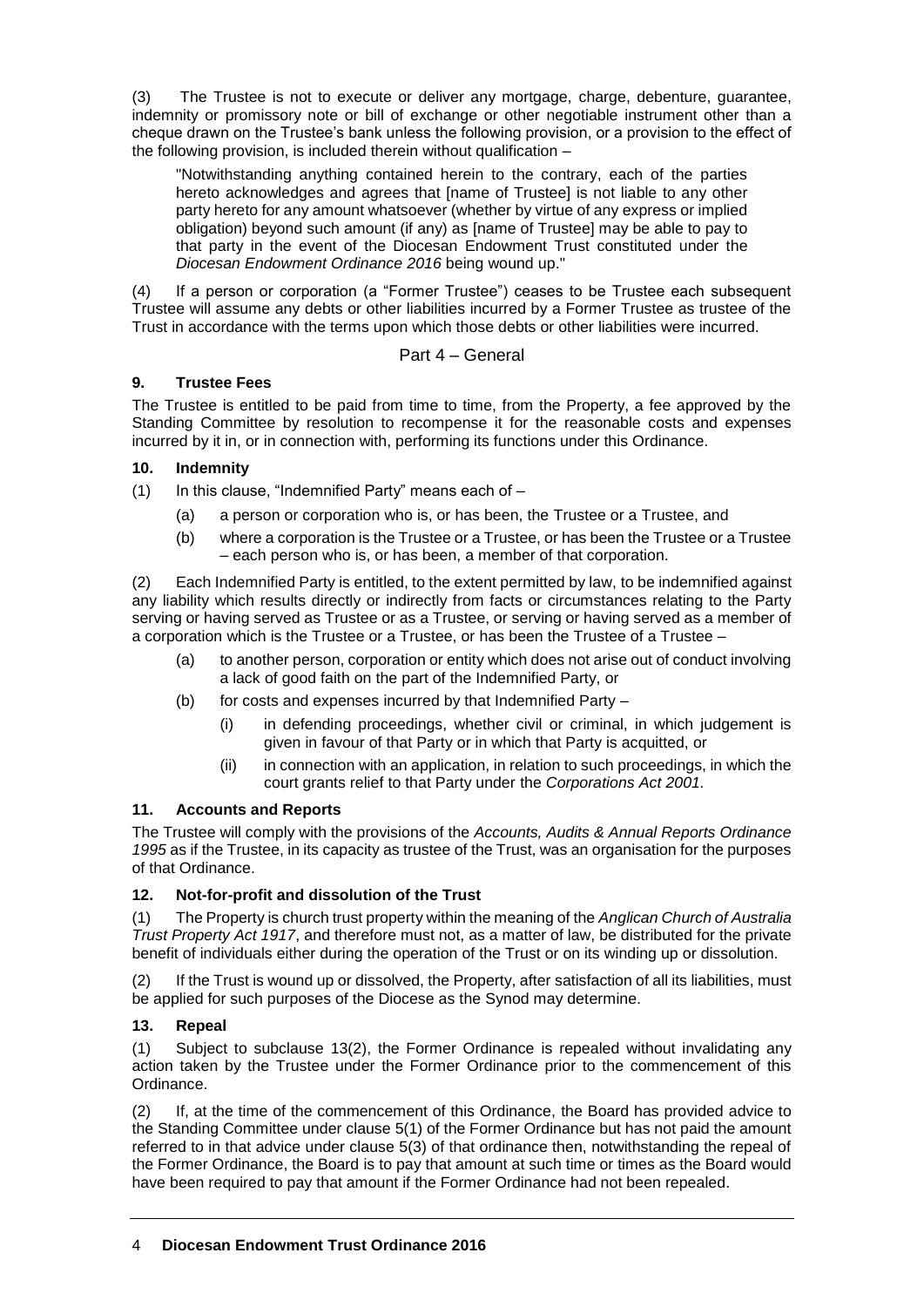(3) The Trustee is not to execute or deliver any mortgage, charge, debenture, guarantee, indemnity or promissory note or bill of exchange or other negotiable instrument other than a cheque drawn on the Trustee's bank unless the following provision, or a provision to the effect of the following provision, is included therein without qualification –

"Notwithstanding anything contained herein to the contrary, each of the parties hereto acknowledges and agrees that [name of Trustee] is not liable to any other party hereto for any amount whatsoever (whether by virtue of any express or implied obligation) beyond such amount (if any) as [name of Trustee] may be able to pay to that party in the event of the Diocesan Endowment Trust constituted under the *Diocesan Endowment Ordinance 2016* being wound up."

(4) If a person or corporation (a "Former Trustee") ceases to be Trustee each subsequent Trustee will assume any debts or other liabilities incurred by a Former Trustee as trustee of the Trust in accordance with the terms upon which those debts or other liabilities were incurred.

# Part 4 – General

## **9. Trustee Fees**

The Trustee is entitled to be paid from time to time, from the Property, a fee approved by the Standing Committee by resolution to recompense it for the reasonable costs and expenses incurred by it in, or in connection with, performing its functions under this Ordinance.

## **10. Indemnity**

 $(1)$  In this clause, "Indemnified Party" means each of  $-$ 

- (a) a person or corporation who is, or has been, the Trustee or a Trustee, and
- (b) where a corporation is the Trustee or a Trustee, or has been the Trustee or a Trustee – each person who is, or has been, a member of that corporation.

(2) Each Indemnified Party is entitled, to the extent permitted by law, to be indemnified against any liability which results directly or indirectly from facts or circumstances relating to the Party serving or having served as Trustee or as a Trustee, or serving or having served as a member of a corporation which is the Trustee or a Trustee, or has been the Trustee of a Trustee –

- (a) to another person, corporation or entity which does not arise out of conduct involving a lack of good faith on the part of the Indemnified Party, or
- (b) for costs and expenses incurred by that Indemnified Party
	- (i) in defending proceedings, whether civil or criminal, in which judgement is given in favour of that Party or in which that Party is acquitted, or
	- (ii) in connection with an application, in relation to such proceedings, in which the court grants relief to that Party under the *Corporations Act 2001.*

### **11. Accounts and Reports**

The Trustee will comply with the provisions of the *Accounts, Audits & Annual Reports Ordinance 1995* as if the Trustee, in its capacity as trustee of the Trust, was an organisation for the purposes of that Ordinance.

# **12. Not-for-profit and dissolution of the Trust**

(1) The Property is church trust property within the meaning of the *Anglican Church of Australia Trust Property Act 1917*, and therefore must not, as a matter of law, be distributed for the private benefit of individuals either during the operation of the Trust or on its winding up or dissolution.

(2) If the Trust is wound up or dissolved, the Property, after satisfaction of all its liabilities, must be applied for such purposes of the Diocese as the Synod may determine.

# **13. Repeal**

(1) Subject to subclause 13(2), the Former Ordinance is repealed without invalidating any action taken by the Trustee under the Former Ordinance prior to the commencement of this Ordinance.

(2) If, at the time of the commencement of this Ordinance, the Board has provided advice to the Standing Committee under clause 5(1) of the Former Ordinance but has not paid the amount referred to in that advice under clause 5(3) of that ordinance then, notwithstanding the repeal of the Former Ordinance, the Board is to pay that amount at such time or times as the Board would have been required to pay that amount if the Former Ordinance had not been repealed.